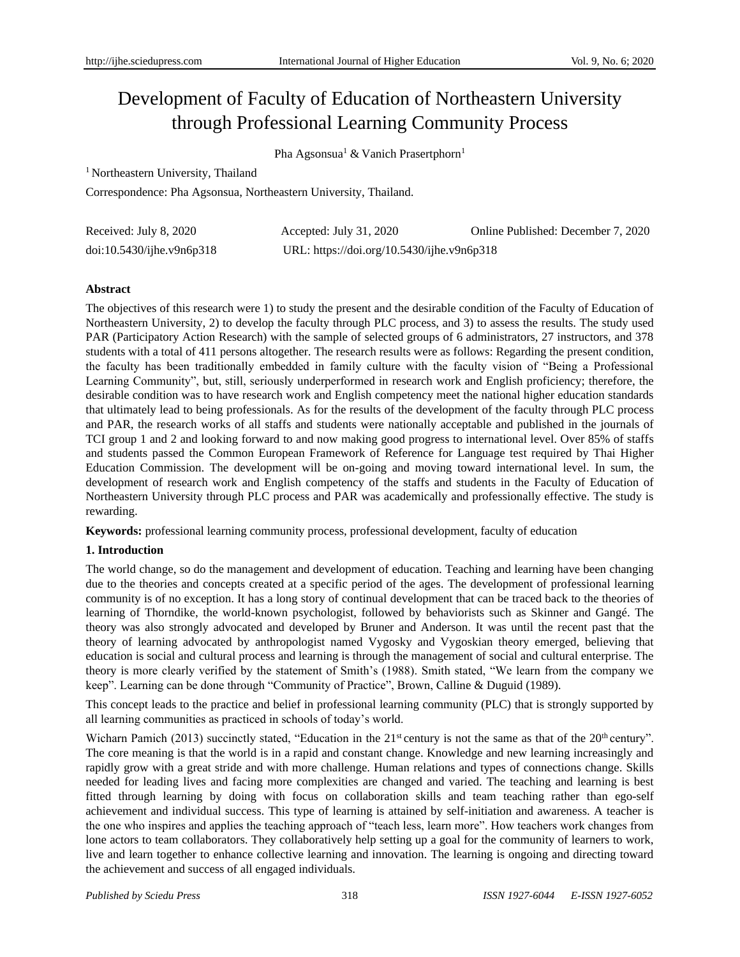# Development of Faculty of Education of Northeastern University through Professional Learning Community Process

Pha Agsonsua<sup>1</sup> & Vanich Prasertphorn<sup>1</sup>

<sup>1</sup> Northeastern University, Thailand

Correspondence: Pha Agsonsua, Northeastern University, Thailand.

| Received: July 8, 2020       | Accepted: July 31, 2020                    | Online Published: December 7, 2020 |
|------------------------------|--------------------------------------------|------------------------------------|
| $doi:10.5430/ij$ he.v9n6p318 | URL: https://doi.org/10.5430/ijhe.v9n6p318 |                                    |

## **Abstract**

The objectives of this research were 1) to study the present and the desirable condition of the Faculty of Education of Northeastern University, 2) to develop the faculty through PLC process, and 3) to assess the results. The study used PAR (Participatory Action Research) with the sample of selected groups of 6 administrators, 27 instructors, and 378 students with a total of 411 persons altogether. The research results were as follows: Regarding the present condition, the faculty has been traditionally embedded in family culture with the faculty vision of "Being a Professional Learning Community", but, still, seriously underperformed in research work and English proficiency; therefore, the desirable condition was to have research work and English competency meet the national higher education standards that ultimately lead to being professionals. As for the results of the development of the faculty through PLC process and PAR, the research works of all staffs and students were nationally acceptable and published in the journals of TCI group 1 and 2 and looking forward to and now making good progress to international level. Over 85% of staffs and students passed the Common European Framework of Reference for Language test required by Thai Higher Education Commission. The development will be on-going and moving toward international level. In sum, the development of research work and English competency of the staffs and students in the Faculty of Education of Northeastern University through PLC process and PAR was academically and professionally effective. The study is rewarding.

**Keywords:** professional learning community process, professional development, faculty of education

## **1. Introduction**

The world change, so do the management and development of education. Teaching and learning have been changing due to the theories and concepts created at a specific period of the ages. The development of professional learning community is of no exception. It has a long story of continual development that can be traced back to the theories of learning of Thorndike, the world-known psychologist, followed by behaviorists such as Skinner and Gangé. The theory was also strongly advocated and developed by Bruner and Anderson. It was until the recent past that the theory of learning advocated by anthropologist named Vygosky and Vygoskian theory emerged, believing that education is social and cultural process and learning is through the management of social and cultural enterprise. The theory is more clearly verified by the statement of Smith's (1988). Smith stated, "We learn from the company we keep". Learning can be done through "Community of Practice", Brown, Calline & Duguid (1989).

This concept leads to the practice and belief in professional learning community (PLC) that is strongly supported by all learning communities as practiced in schools of today's world.

Wicharn Pamich (2013) succinctly stated, "Education in the 21<sup>st</sup> century is not the same as that of the 20<sup>th</sup> century". The core meaning is that the world is in a rapid and constant change. Knowledge and new learning increasingly and rapidly grow with a great stride and with more challenge. Human relations and types of connections change. Skills needed for leading lives and facing more complexities are changed and varied. The teaching and learning is best fitted through learning by doing with focus on collaboration skills and team teaching rather than ego-self achievement and individual success. This type of learning is attained by self-initiation and awareness. A teacher is the one who inspires and applies the teaching approach of "teach less, learn more". How teachers work changes from lone actors to team collaborators. They collaboratively help setting up a goal for the community of learners to work, live and learn together to enhance collective learning and innovation. The learning is ongoing and directing toward the achievement and success of all engaged individuals.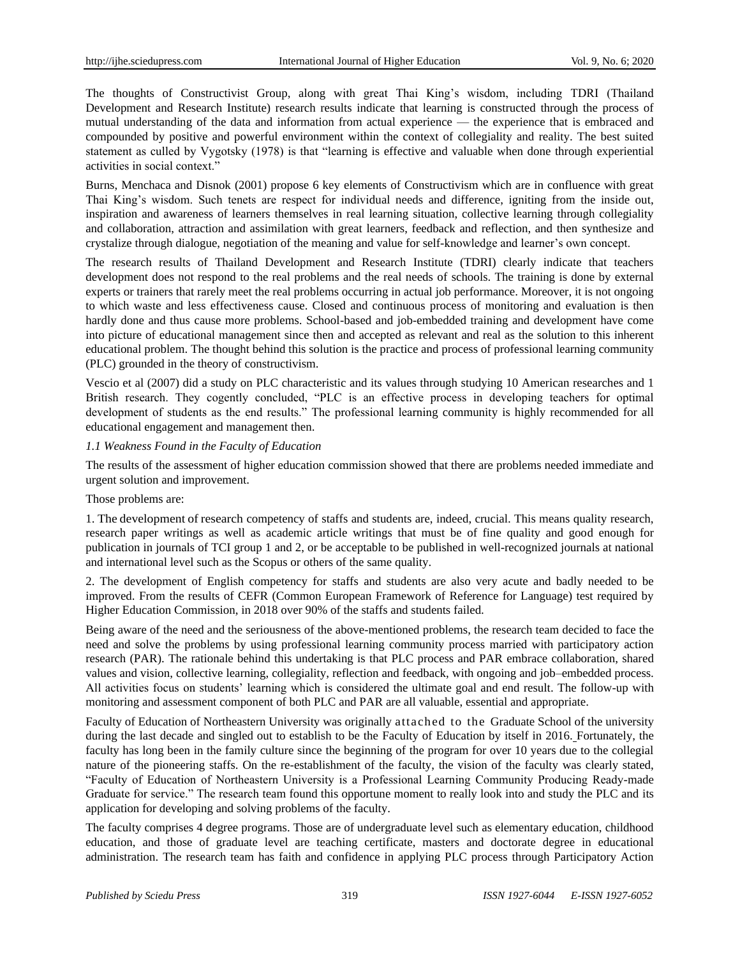The thoughts of Constructivist Group, along with great Thai King's wisdom, including TDRI (Thailand Development and Research Institute) research results indicate that learning is constructed through the process of mutual understanding of the data and information from actual experience — the experience that is embraced and compounded by positive and powerful environment within the context of collegiality and reality. The best suited statement as culled by Vygotsky (1978) is that "learning is effective and valuable when done through experiential activities in social context."

Burns, Menchaca and Disnok (2001) propose 6 key elements of Constructivism which are in confluence with great Thai King's wisdom. Such tenets are respect for individual needs and difference, igniting from the inside out, inspiration and awareness of learners themselves in real learning situation, collective learning through collegiality and collaboration, attraction and assimilation with great learners, feedback and reflection, and then synthesize and crystalize through dialogue, negotiation of the meaning and value for self-knowledge and learner's own concept.

The research results of Thailand Development and Research Institute (TDRI) clearly indicate that teachers development does not respond to the real problems and the real needs of schools. The training is done by external experts or trainers that rarely meet the real problems occurring in actual job performance. Moreover, it is not ongoing to which waste and less effectiveness cause. Closed and continuous process of monitoring and evaluation is then hardly done and thus cause more problems. School-based and job-embedded training and development have come into picture of educational management since then and accepted as relevant and real as the solution to this inherent educational problem. The thought behind this solution is the practice and process of professional learning community (PLC) grounded in the theory of constructivism.

Vescio et al (2007) did a study on PLC characteristic and its values through studying 10 American researches and 1 British research. They cogently concluded, "PLC is an effective process in developing teachers for optimal development of students as the end results." The professional learning community is highly recommended for all educational engagement and management then.

#### *1.1 Weakness Found in the Faculty of Education*

The results of the assessment of higher education commission showed that there are problems needed immediate and urgent solution and improvement.

#### Those problems are:

1. The development of research competency of staffs and students are, indeed, crucial. This means quality research, research paper writings as well as academic article writings that must be of fine quality and good enough for publication in journals of TCI group 1 and 2, or be acceptable to be published in well-recognized journals at national and international level such as the Scopus or others of the same quality.

2. The development of English competency for staffs and students are also very acute and badly needed to be improved. From the results of CEFR (Common European Framework of Reference for Language) test required by Higher Education Commission, in 2018 over 90% of the staffs and students failed.

Being aware of the need and the seriousness of the above-mentioned problems, the research team decided to face the need and solve the problems by using professional learning community process married with participatory action research (PAR). The rationale behind this undertaking is that PLC process and PAR embrace collaboration, shared values and vision, collective learning, collegiality, reflection and feedback, with ongoing and job–embedded process. All activities focus on students' learning which is considered the ultimate goal and end result. The follow-up with monitoring and assessment component of both PLC and PAR are all valuable, essential and appropriate.

Faculty of Education of Northeastern University was originally attached to the Graduate School of the university during the last decade and singled out to establish to be the Faculty of Education by itself in 2016. Fortunately, the faculty has long been in the family culture since the beginning of the program for over 10 years due to the collegial nature of the pioneering staffs. On the re-establishment of the faculty, the vision of the faculty was clearly stated, "Faculty of Education of Northeastern University is a Professional Learning Community Producing Ready-made Graduate for service." The research team found this opportune moment to really look into and study the PLC and its application for developing and solving problems of the faculty.

The faculty comprises 4 degree programs. Those are of undergraduate level such as elementary education, childhood education, and those of graduate level are teaching certificate, masters and doctorate degree in educational administration. The research team has faith and confidence in applying PLC process through Participatory Action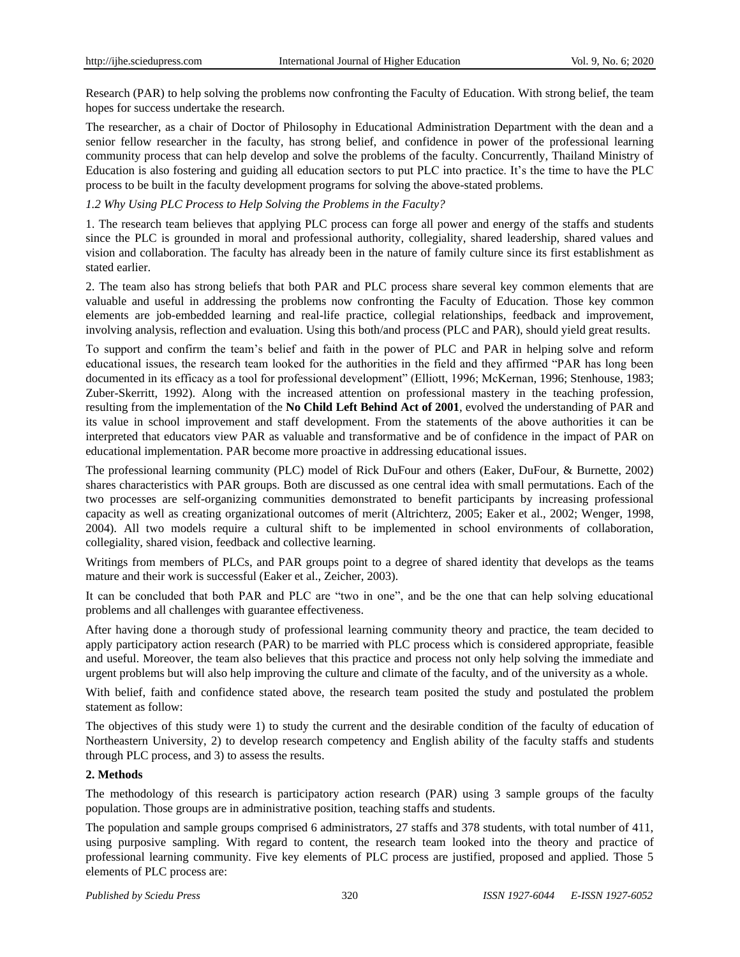Research (PAR) to help solving the problems now confronting the Faculty of Education. With strong belief, the team hopes for success undertake the research.

The researcher, as a chair of Doctor of Philosophy in Educational Administration Department with the dean and a senior fellow researcher in the faculty, has strong belief, and confidence in power of the professional learning community process that can help develop and solve the problems of the faculty. Concurrently, Thailand Ministry of Education is also fostering and guiding all education sectors to put PLC into practice. It's the time to have the PLC process to be built in the faculty development programs for solving the above-stated problems.

#### *1.2 Why Using PLC Process to Help Solving the Problems in the Faculty?*

1. The research team believes that applying PLC process can forge all power and energy of the staffs and students since the PLC is grounded in moral and professional authority, collegiality, shared leadership, shared values and vision and collaboration. The faculty has already been in the nature of family culture since its first establishment as stated earlier.

2. The team also has strong beliefs that both PAR and PLC process share several key common elements that are valuable and useful in addressing the problems now confronting the Faculty of Education. Those key common elements are job-embedded learning and real-life practice, collegial relationships, feedback and improvement, involving analysis, reflection and evaluation. Using this both/and process (PLC and PAR), should yield great results.

To support and confirm the team's belief and faith in the power of PLC and PAR in helping solve and reform educational issues, the research team looked for the authorities in the field and they affirmed "PAR has long been documented in its efficacy as a tool for professional development" (Elliott, 1996; McKernan, 1996; Stenhouse, 1983; Zuber-Skerritt, 1992). Along with the increased attention on professional mastery in the teaching profession, resulting from the implementation of the **No Child Left Behind Act of 2001**, evolved the understanding of PAR and its value in school improvement and staff development. From the statements of the above authorities it can be interpreted that educators view PAR as valuable and transformative and be of confidence in the impact of PAR on educational implementation. PAR become more proactive in addressing educational issues.

The professional learning community (PLC) model of Rick DuFour and others (Eaker, DuFour, & Burnette, 2002) shares characteristics with PAR groups. Both are discussed as one central idea with small permutations. Each of the two processes are self-organizing communities demonstrated to benefit participants by increasing professional capacity as well as creating organizational outcomes of merit (Altrichterz, 2005; Eaker et al., 2002; Wenger, 1998, 2004). All two models require a cultural shift to be implemented in school environments of collaboration, collegiality, shared vision, feedback and collective learning.

Writings from members of PLCs, and PAR groups point to a degree of shared identity that develops as the teams mature and their work is successful (Eaker et al., Zeicher, 2003).

It can be concluded that both PAR and PLC are "two in one", and be the one that can help solving educational problems and all challenges with guarantee effectiveness.

After having done a thorough study of professional learning community theory and practice, the team decided to apply participatory action research (PAR) to be married with PLC process which is considered appropriate, feasible and useful. Moreover, the team also believes that this practice and process not only help solving the immediate and urgent problems but will also help improving the culture and climate of the faculty, and of the university as a whole.

With belief, faith and confidence stated above, the research team posited the study and postulated the problem statement as follow:

The objectives of this study were 1) to study the current and the desirable condition of the faculty of education of Northeastern University, 2) to develop research competency and English ability of the faculty staffs and students through PLC process, and 3) to assess the results.

#### **2. Methods**

The methodology of this research is participatory action research (PAR) using 3 sample groups of the faculty population. Those groups are in administrative position, teaching staffs and students.

The population and sample groups comprised 6 administrators, 27 staffs and 378 students, with total number of 411, using purposive sampling. With regard to content, the research team looked into the theory and practice of professional learning community. Five key elements of PLC process are justified, proposed and applied. Those 5 elements of PLC process are: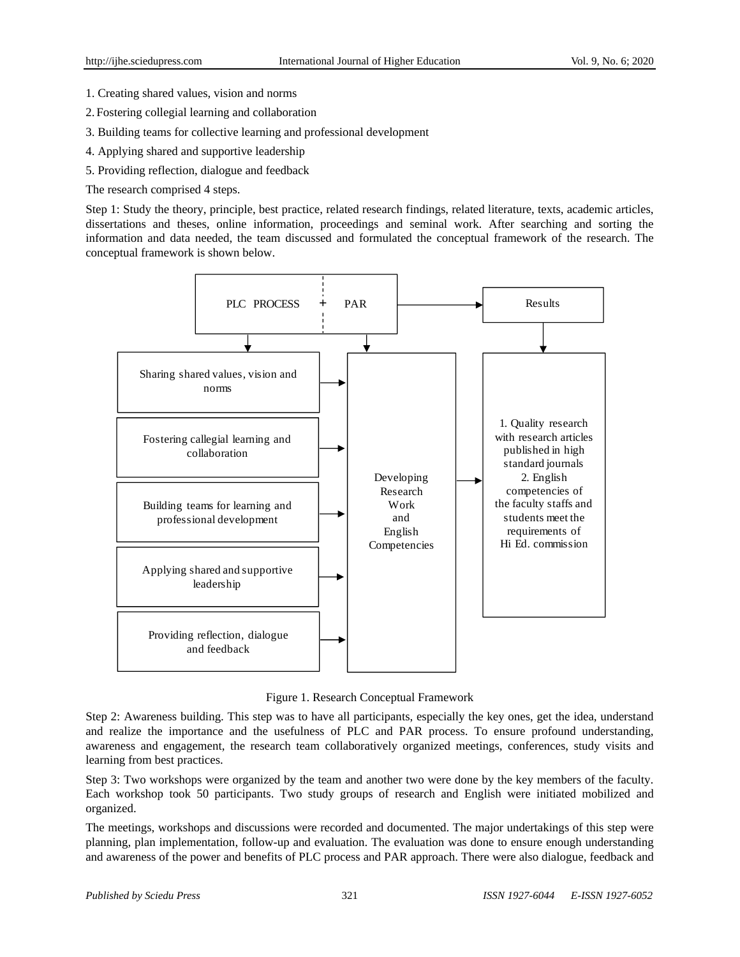- 1. Creating shared values, vision and norms
- 2. Fostering collegial learning and collaboration
- 3. Building teams for collective learning and professional development
- 4. Applying shared and supportive leadership
- 5. Providing reflection, dialogue and feedback

The research comprised 4 steps.

Step 1: Study the theory, principle, best practice, related research findings, related literature, texts, academic articles, dissertations and theses, online information, proceedings and seminal work. After searching and sorting the information and data needed, the team discussed and formulated the conceptual framework of the research. The conceptual framework is shown below.



Figure 1. Research Conceptual Framework

Step 2: Awareness building. This step was to have all participants, especially the key ones, get the idea, understand and realize the importance and the usefulness of PLC and PAR process. To ensure profound understanding, awareness and engagement, the research team collaboratively organized meetings, conferences, study visits and learning from best practices.

Step 3: Two workshops were organized by the team and another two were done by the key members of the faculty. Each workshop took 50 participants. Two study groups of research and English were initiated mobilized and organized.

The meetings, workshops and discussions were recorded and documented. The major undertakings of this step were planning, plan implementation, follow-up and evaluation. The evaluation was done to ensure enough understanding and awareness of the power and benefits of PLC process and PAR approach. There were also dialogue, feedback and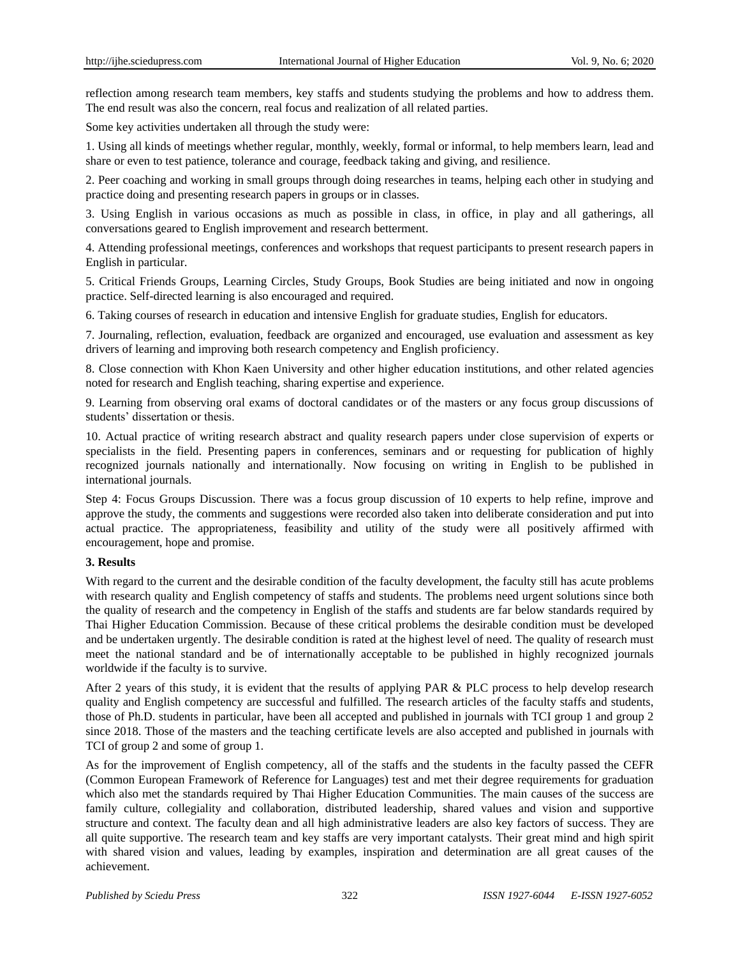reflection among research team members, key staffs and students studying the problems and how to address them. The end result was also the concern, real focus and realization of all related parties.

Some key activities undertaken all through the study were:

1. Using all kinds of meetings whether regular, monthly, weekly, formal or informal, to help members learn, lead and share or even to test patience, tolerance and courage, feedback taking and giving, and resilience.

2. Peer coaching and working in small groups through doing researches in teams, helping each other in studying and practice doing and presenting research papers in groups or in classes.

3. Using English in various occasions as much as possible in class, in office, in play and all gatherings, all conversations geared to English improvement and research betterment.

4. Attending professional meetings, conferences and workshops that request participants to present research papers in English in particular.

5. Critical Friends Groups, Learning Circles, Study Groups, Book Studies are being initiated and now in ongoing practice. Self-directed learning is also encouraged and required.

6. Taking courses of research in education and intensive English for graduate studies, English for educators.

7. Journaling, reflection, evaluation, feedback are organized and encouraged, use evaluation and assessment as key drivers of learning and improving both research competency and English proficiency.

8. Close connection with Khon Kaen University and other higher education institutions, and other related agencies noted for research and English teaching, sharing expertise and experience.

9. Learning from observing oral exams of doctoral candidates or of the masters or any focus group discussions of students' dissertation or thesis.

10. Actual practice of writing research abstract and quality research papers under close supervision of experts or specialists in the field. Presenting papers in conferences, seminars and or requesting for publication of highly recognized journals nationally and internationally. Now focusing on writing in English to be published in international journals.

Step 4: Focus Groups Discussion. There was a focus group discussion of 10 experts to help refine, improve and approve the study, the comments and suggestions were recorded also taken into deliberate consideration and put into actual practice. The appropriateness, feasibility and utility of the study were all positively affirmed with encouragement, hope and promise.

### **3. Results**

With regard to the current and the desirable condition of the faculty development, the faculty still has acute problems with research quality and English competency of staffs and students. The problems need urgent solutions since both the quality of research and the competency in English of the staffs and students are far below standards required by Thai Higher Education Commission. Because of these critical problems the desirable condition must be developed and be undertaken urgently. The desirable condition is rated at the highest level of need. The quality of research must meet the national standard and be of internationally acceptable to be published in highly recognized journals worldwide if the faculty is to survive.

After 2 years of this study, it is evident that the results of applying PAR & PLC process to help develop research quality and English competency are successful and fulfilled. The research articles of the faculty staffs and students, those of Ph.D. students in particular, have been all accepted and published in journals with TCI group 1 and group 2 since 2018. Those of the masters and the teaching certificate levels are also accepted and published in journals with TCI of group 2 and some of group 1.

As for the improvement of English competency, all of the staffs and the students in the faculty passed the CEFR (Common European Framework of Reference for Languages) test and met their degree requirements for graduation which also met the standards required by Thai Higher Education Communities. The main causes of the success are family culture, collegiality and collaboration, distributed leadership, shared values and vision and supportive structure and context. The faculty dean and all high administrative leaders are also key factors of success. They are all quite supportive. The research team and key staffs are very important catalysts. Their great mind and high spirit with shared vision and values, leading by examples, inspiration and determination are all great causes of the achievement.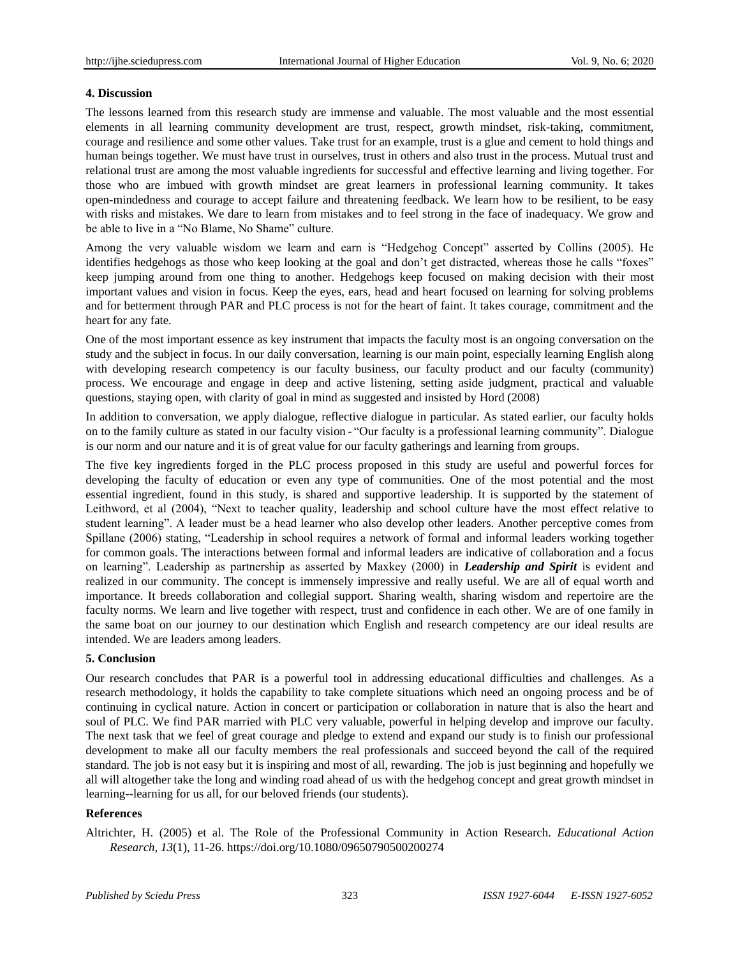#### **4. Discussion**

The lessons learned from this research study are immense and valuable. The most valuable and the most essential elements in all learning community development are trust, respect, growth mindset, risk-taking, commitment, courage and resilience and some other values. Take trust for an example, trust is a glue and cement to hold things and human beings together. We must have trust in ourselves, trust in others and also trust in the process. Mutual trust and relational trust are among the most valuable ingredients for successful and effective learning and living together. For those who are imbued with growth mindset are great learners in professional learning community. It takes open-mindedness and courage to accept failure and threatening feedback. We learn how to be resilient, to be easy with risks and mistakes. We dare to learn from mistakes and to feel strong in the face of inadequacy. We grow and be able to live in a "No Blame, No Shame" culture.

Among the very valuable wisdom we learn and earn is "Hedgehog Concept" asserted by Collins (2005). He identifies hedgehogs as those who keep looking at the goal and don't get distracted, whereas those he calls "foxes" keep jumping around from one thing to another. Hedgehogs keep focused on making decision with their most important values and vision in focus. Keep the eyes, ears, head and heart focused on learning for solving problems and for betterment through PAR and PLC process is not for the heart of faint. It takes courage, commitment and the heart for any fate.

One of the most important essence as key instrument that impacts the faculty most is an ongoing conversation on the study and the subject in focus. In our daily conversation, learning is our main point, especially learning English along with developing research competency is our faculty business, our faculty product and our faculty (community) process. We encourage and engage in deep and active listening, setting aside judgment, practical and valuable questions, staying open, with clarity of goal in mind as suggested and insisted by Hord (2008)

In addition to conversation, we apply dialogue, reflective dialogue in particular. As stated earlier, our faculty holds on to the family culture as stated in our faculty vision - "Our faculty is a professional learning community". Dialogue is our norm and our nature and it is of great value for our faculty gatherings and learning from groups.

The five key ingredients forged in the PLC process proposed in this study are useful and powerful forces for developing the faculty of education or even any type of communities. One of the most potential and the most essential ingredient, found in this study, is shared and supportive leadership. It is supported by the statement of Leithword, et al (2004), "Next to teacher quality, leadership and school culture have the most effect relative to student learning". A leader must be a head learner who also develop other leaders. Another perceptive comes from Spillane (2006) stating, "Leadership in school requires a network of formal and informal leaders working together for common goals. The interactions between formal and informal leaders are indicative of collaboration and a focus on learning". Leadership as partnership as asserted by Maxkey (2000) in *Leadership and Spirit* is evident and realized in our community. The concept is immensely impressive and really useful. We are all of equal worth and importance. It breeds collaboration and collegial support. Sharing wealth, sharing wisdom and repertoire are the faculty norms. We learn and live together with respect, trust and confidence in each other. We are of one family in the same boat on our journey to our destination which English and research competency are our ideal results are intended. We are leaders among leaders.

#### **5. Conclusion**

Our research concludes that PAR is a powerful tool in addressing educational difficulties and challenges. As a research methodology, it holds the capability to take complete situations which need an ongoing process and be of continuing in cyclical nature. Action in concert or participation or collaboration in nature that is also the heart and soul of PLC. We find PAR married with PLC very valuable, powerful in helping develop and improve our faculty. The next task that we feel of great courage and pledge to extend and expand our study is to finish our professional development to make all our faculty members the real professionals and succeed beyond the call of the required standard. The job is not easy but it is inspiring and most of all, rewarding. The job is just beginning and hopefully we all will altogether take the long and winding road ahead of us with the hedgehog concept and great growth mindset in learning--learning for us all, for our beloved friends (our students).

#### **References**

Altrichter, H. (2005) et al. The Role of the Professional Community in Action Research. *Educational Action Research, 13*(1), 11-26.<https://doi.org/10.1080/09650790500200274>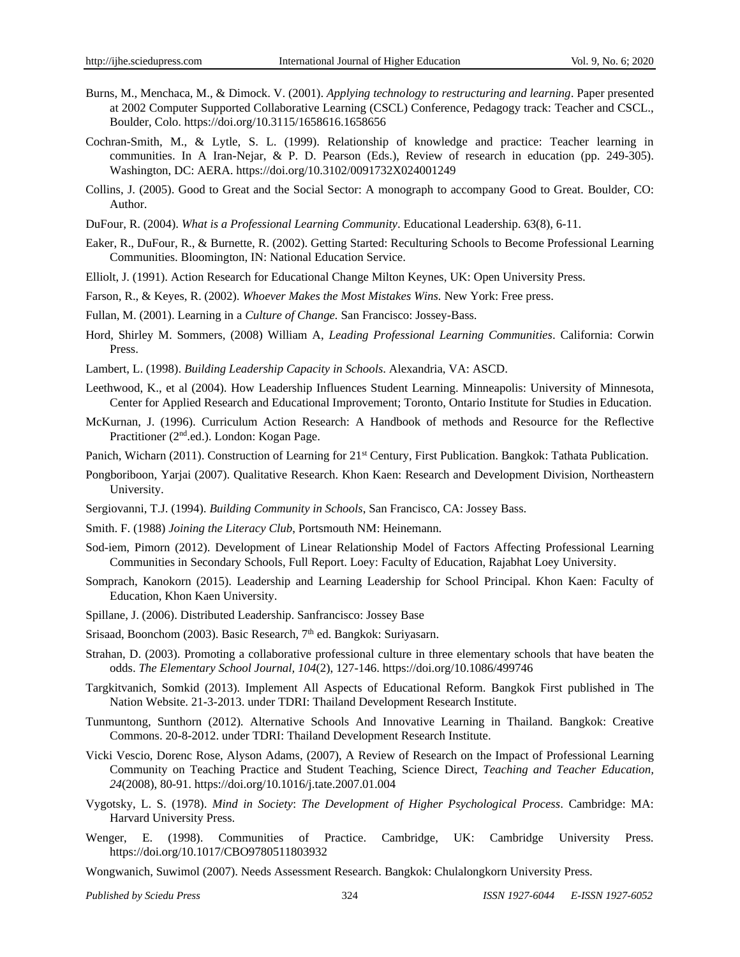- Burns, M., Menchaca, M., & Dimock. V. (2001). *Applying technology to restructuring and learning*. Paper presented at 2002 Computer Supported Collaborative Learning (CSCL) Conference, Pedagogy track: Teacher and CSCL., Boulder, Colo[. https://doi.org/10.3115/1658616.1658656](https://doi.org/10.3115/1658616.1658656)
- Cochran-Smith, M., & Lytle, S. L. (1999). Relationship of knowledge and practice: Teacher learning in communities. In A Iran-Nejar, & P. D. Pearson (Eds.), Review of research in education (pp. 249-305). Washington, DC: AERA[. https://doi.org/10.3102/0091732X024001249](https://doi.org/10.3102/0091732X024001249)
- Collins, J. (2005). Good to Great and the Social Sector: A monograph to accompany Good to Great. Boulder, CO: Author.
- DuFour, R. (2004). *What is a Professional Learning Community*. Educational Leadership. 63(8), 6-11.
- Eaker, R., DuFour, R., & Burnette, R. (2002). Getting Started: Reculturing Schools to Become Professional Learning Communities. Bloomington, IN: National Education Service.
- Elliolt, J. (1991). Action Research for Educational Change Milton Keynes, UK: Open University Press.
- Farson, R., & Keyes, R. (2002). *Whoever Makes the Most Mistakes Wins.* New York: Free press.
- Fullan, M. (2001). Learning in a *Culture of Change.* San Francisco: Jossey-Bass.
- Hord, Shirley M. Sommers, (2008) William A, *Leading Professional Learning Communities*. California: Corwin Press.
- Lambert, L. (1998). *Building Leadership Capacity in Schools*. Alexandria, VA: ASCD.
- Leethwood, K., et al (2004). How Leadership Influences Student Learning. Minneapolis: University of Minnesota, Center for Applied Research and Educational Improvement; Toronto, Ontario Institute for Studies in Education.
- McKurnan, J. (1996). Curriculum Action Research: A Handbook of methods and Resource for the Reflective Practitioner (2<sup>nd</sup>.ed.). London: Kogan Page.
- Panich, Wicharn (2011). Construction of Learning for 21<sup>st</sup> Century, First Publication. Bangkok: Tathata Publication.
- Pongboriboon, Yarjai (2007). Qualitative Research. Khon Kaen: Research and Development Division, Northeastern University.
- Sergiovanni, T.J. (1994). *Building Community in Schools*, San Francisco, CA: Jossey Bass.
- Smith. F. (1988) *Joining the Literacy Club*, Portsmouth NM: Heinemann.
- Sod-iem, Pimorn (2012). Development of Linear Relationship Model of Factors Affecting Professional Learning Communities in Secondary Schools, Full Report. Loey: Faculty of Education, Rajabhat Loey University.
- Somprach, Kanokorn (2015). Leadership and Learning Leadership for School Principal. Khon Kaen: Faculty of Education, Khon Kaen University.
- Spillane, J. (2006). Distributed Leadership. Sanfrancisco: Jossey Base
- Srisaad, Boonchom (2003). Basic Research, 7<sup>th</sup> ed. Bangkok: Suriyasarn.
- Strahan, D. (2003). Promoting a collaborative professional culture in three elementary schools that have beaten the odds. *The Elementary School Journal, 104*(2), 127-146[. https://doi.org/10.1086/499746](https://doi.org/10.1086/499746)
- Targkitvanich, Somkid (2013). Implement All Aspects of Educational Reform. Bangkok First published in The Nation Website. 21-3-2013. under TDRI: Thailand Development Research Institute.
- Tunmuntong, Sunthorn (2012). Alternative Schools And Innovative Learning in Thailand. Bangkok: Creative Commons. 20-8-2012. under TDRI: Thailand Development Research Institute.
- Vicki Vescio, Dorenc Rose, Alyson Adams, (2007), A Review of Research on the Impact of Professional Learning Community on Teaching Practice and Student Teaching, Science Direct, *Teaching and Teacher Education, 24*(2008), 80-91.<https://doi.org/10.1016/j.tate.2007.01.004>
- Vygotsky, L. S. (1978). *Mind in Society*: *The Development of Higher Psychological Process*. Cambridge: MA: Harvard University Press.
- Wenger, E. (1998). Communities of Practice. Cambridge, UK: Cambridge University Press. <https://doi.org/10.1017/CBO9780511803932>
- Wongwanich, Suwimol (2007). Needs Assessment Research. Bangkok: Chulalongkorn University Press.